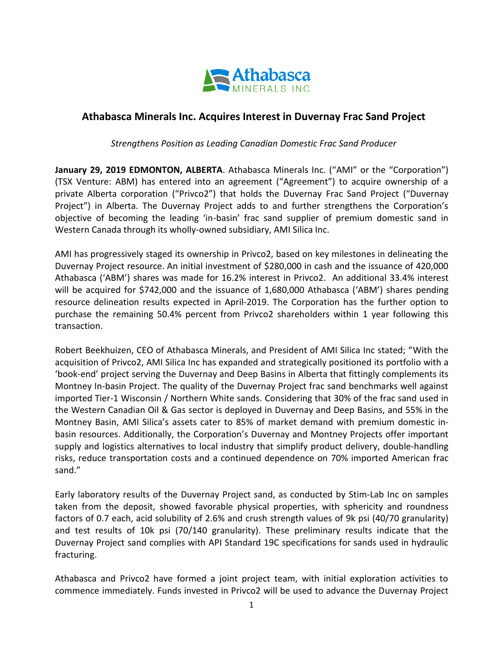

## **Athabasca Minerals Inc. Acquires Interest in Duvernay Frac Sand Project**

*Strengthens Position as Leading Canadian Domestic Frac Sand Producer*

**January 29, 2019 EDMONTON, ALBERTA**. Athabasca Minerals Inc. ("AMI" or the "Corporation") (TSX Venture: ABM) has entered into an agreement ("Agreement") to acquire ownership of a private Alberta corporation ("Privco2") that holds the Duvernay Frac Sand Project ("Duvernay Project") in Alberta. The Duvernay Project adds to and further strengthens the Corporation's objective of becoming the leading 'in-basin' frac sand supplier of premium domestic sand in Western Canada through its wholly-owned subsidiary, AMI Silica Inc.

AMI has progressively staged its ownership in Privco2, based on key milestones in delineating the Duvernay Project resource. An initial investment of \$280,000 in cash and the issuance of 420,000 Athabasca ('ABM') shares was made for 16.2% interest in Privco2. An additional 33.4% interest will be acquired for \$742,000 and the issuance of 1,680,000 Athabasca ('ABM') shares pending resource delineation results expected in April-2019. The Corporation has the further option to purchase the remaining 50.4% percent from Privco2 shareholders within 1 year following this transaction.

Robert Beekhuizen, CEO of Athabasca Minerals, and President of AMI Silica Inc stated; "With the acquisition of Privco2, AMI Silica Inc has expanded and strategically positioned its portfolio with a 'book-end' project serving the Duvernay and Deep Basins in Alberta that fittingly complements its Montney In-basin Project. The quality of the Duvernay Project frac sand benchmarks well against imported Tier-1 Wisconsin / Northern White sands. Considering that 30% of the frac sand used in the Western Canadian Oil & Gas sector is deployed in Duvernay and Deep Basins, and 55% in the Montney Basin, AMI Silica's assets cater to 85% of market demand with premium domestic inbasin resources. Additionally, the Corporation's Duvernay and Montney Projects offer important supply and logistics alternatives to local industry that simplify product delivery, double-handling risks, reduce transportation costs and a continued dependence on 70% imported American frac sand."

Early laboratory results of the Duvernay Project sand, as conducted by Stim-Lab Inc on samples taken from the deposit, showed favorable physical properties, with sphericity and roundness factors of 0.7 each, acid solubility of 2.6% and crush strength values of 9k psi (40/70 granularity) and test results of 10k psi (70/140 granularity). These preliminary results indicate that the Duvernay Project sand complies with API Standard 19C specifications for sands used in hydraulic fracturing.

Athabasca and Privco2 have formed a joint project team, with initial exploration activities to commence immediately. Funds invested in Privco2 will be used to advance the Duvernay Project